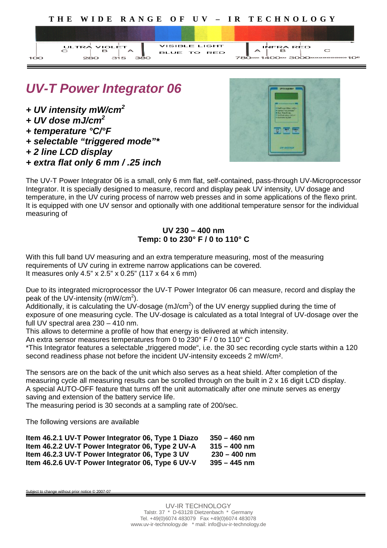

VISIBLE LIGHT

тo

# *UV-T Power Integrator 06*

பலடங்

зέ

*+ UV intensity mW/cm<sup>2</sup>*

 $C$ LTRA

- *+ UV dose mJ/cm<sup>2</sup>*
- *+ temperature °C/°F*
- *+ selectable "triggered mode"\**
- *+ 2 line LCD display*
- *+ extra flat only 6 mm / .25 inch*



INFRA RED

 $\overline{C}$ 

The UV-T Power Integrator 06 is a small, only 6 mm flat, self-contained, pass-through UV-Microprocessor Integrator. It is specially designed to measure, record and display peak UV intensity, UV dosage and temperature, in the UV curing process of narrow web presses and in some applications of the flexo print. It is equipped with one UV sensor and optionally with one additional temperature sensor for the individual measuring of

### **UV 230 – 400 nm Temp: 0 to 230° F / 0 to 110° C**

With this full band UV measuring and an extra temperature measuring, most of the measuring requirements of UV curing in extreme narrow applications can be covered. It measures only 4.5" x 2.5" x 0.25" (117 x 64 x 6 mm)

Due to its integrated microprocessor the UV-T Power Integrator 06 can measure, record and display the peak of the UV-intensity  $(mW/cm<sup>2</sup>)$ .

Additionally, it is calculating the UV-dosage (mJ/cm<sup>2</sup>) of the UV energy supplied during the time of exposure of one measuring cycle. The UV-dosage is calculated as a total Integral of UV-dosage over the full UV spectral area 230 – 410 nm.

This allows to determine a profile of how that energy is delivered at which intensity.

An extra sensor measures temperatures from 0 to 230° F / 0 to 110° C

\*This Integrator features a selectable "triggered mode", i.e. the 30 sec recording cycle starts within a 120 second readiness phase not before the incident UV-intensity exceeds 2 mW/cm².

The sensors are on the back of the unit which also serves as a heat shield. After completion of the measuring cycle all measuring results can be scrolled through on the built in 2 x 16 digit LCD display. A special AUTO-OFF feature that turns off the unit automatically after one minute serves as energy saving and extension of the battery service life.

The measuring period is 30 seconds at a sampling rate of 200/sec.

The following versions are available

| Item 46.2.1 UV-T Power Integrator 06, Type 1 Diazo | $350 - 460$ nm |
|----------------------------------------------------|----------------|
| Item 46.2.2 UV-T Power Integrator 06, Type 2 UV-A  | $315 - 400$ nm |
| Item 46.2.3 UV-T Power Integrator 06, Type 3 UV    | $230 - 400$ nm |
| Item 46.2.6 UV-T Power Integrator 06, Type 6 UV-V  | $395 - 445$ nm |

Subject to change without prior notice © 2007-07